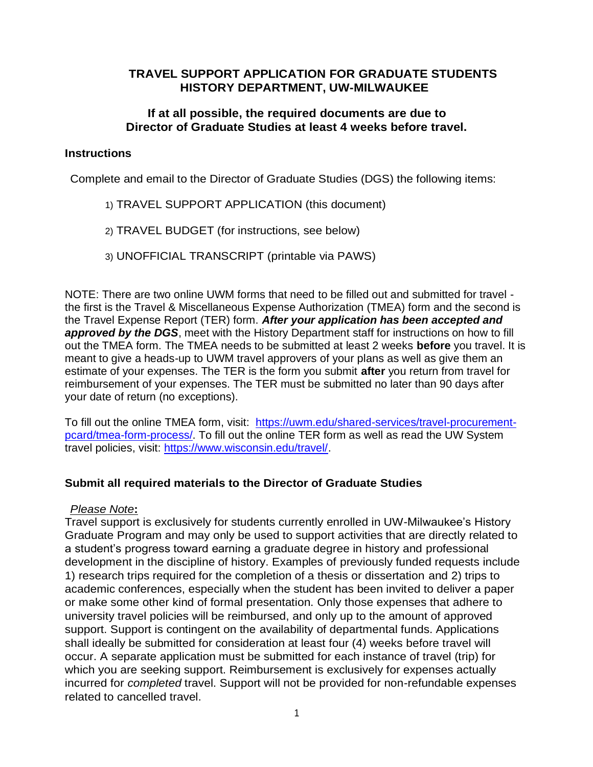# **TRAVEL SUPPORT APPLICATION FOR GRADUATE STUDENTS HISTORY DEPARTMENT, UW-MILWAUKEE**

## **If at all possible, the required documents are due to Director of Graduate Studies at least 4 weeks before travel.**

## **Instructions**

Complete and email to the Director of Graduate Studies (DGS) the following items:

- 1) TRAVEL SUPPORT APPLICATION (this document)
- 2) TRAVEL BUDGET (for instructions, see below)
- 3) UNOFFICIAL TRANSCRIPT (printable via PAWS)

NOTE: There are two online UWM forms that need to be filled out and submitted for travel the first is the Travel & Miscellaneous Expense Authorization (TMEA) form and the second is the Travel Expense Report (TER) form. *After your application has been accepted and*  approved by the DGS, meet with the History Department staff for instructions on how to fill out the TMEA form. The TMEA needs to be submitted at least 2 weeks **before** you travel. It is meant to give a heads-up to UWM travel approvers of your plans as well as give them an estimate of your expenses. The TER is the form you submit **after** you return from travel for reimbursement of your expenses. The TER must be submitted no later than 90 days after your date of return (no exceptions).

To fill out the online TMEA form, visit: [https://uwm.edu/shared-services/travel-procurement](https://uwm.edu/shared-services/travel-procurement-pcard/tmea-form-process/)[pcard/tmea-form-process/.](https://uwm.edu/shared-services/travel-procurement-pcard/tmea-form-process/) To fill out the online TER form as well as read the UW System travel policies, visit: [https://www.wisconsin.edu/travel/.](https://www.wisconsin.edu/travel/)

# **Submit all required materials to the Director of Graduate Studies**

# *Please Note***:**

Travel support is exclusively for students currently enrolled in UW-Milwaukee's History Graduate Program and may only be used to support activities that are directly related to a student's progress toward earning a graduate degree in history and professional development in the discipline of history. Examples of previously funded requests include 1) research trips required for the completion of a thesis or dissertation and 2) trips to academic conferences, especially when the student has been invited to deliver a paper or make some other kind of formal presentation. Only those expenses that adhere to university travel policies will be reimbursed, and only up to the amount of approved support. Support is contingent on the availability of departmental funds. Applications shall ideally be submitted for consideration at least four (4) weeks before travel will occur. A separate application must be submitted for each instance of travel (trip) for which you are seeking support. Reimbursement is exclusively for expenses actually incurred for *completed* travel. Support will not be provided for non-refundable expenses related to cancelled travel.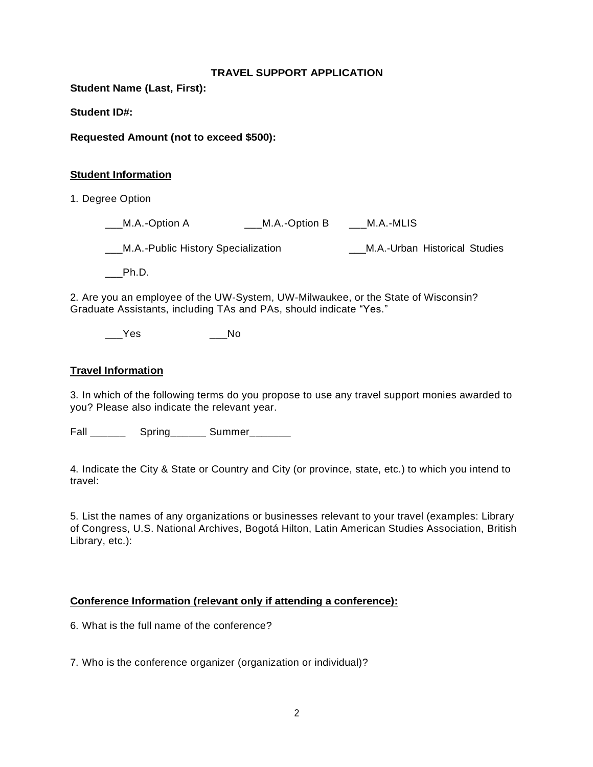#### **TRAVEL SUPPORT APPLICATION**

**Student Name (Last, First):**

**Student ID#:**

**Requested Amount (not to exceed \$500):**

#### **Student Information**

1. Degree Option

\_\_\_M.A.-Option A \_\_\_M.A.-Option B \_\_\_M.A.-MLIS

\_\_\_M.A.-Public History Specialization \_\_\_M.A.-Urban Historical Studies

\_\_\_Ph.D.

2. Are you an employee of the UW-System, UW-Milwaukee, or the State of Wisconsin? Graduate Assistants, including TAs and PAs, should indicate "Yes."

\_\_\_\_Yes \_\_\_\_\_\_No

### **Travel Information**

3. In which of the following terms do you propose to use any travel support monies awarded to you? Please also indicate the relevant year.

Fall \_\_\_\_\_\_\_ Spring\_\_\_\_\_\_ Summer\_\_\_\_\_\_\_

4. Indicate the City & State or Country and City (or province, state, etc.) to which you intend to travel:

5. List the names of any organizations or businesses relevant to your travel (examples: Library of Congress, U.S. National Archives, Bogotá Hilton, Latin American Studies Association, British Library, etc.):

### **Conference Information (relevant only if attending a conference):**

6. What is the full name of the conference?

7. Who is the conference organizer (organization or individual)?